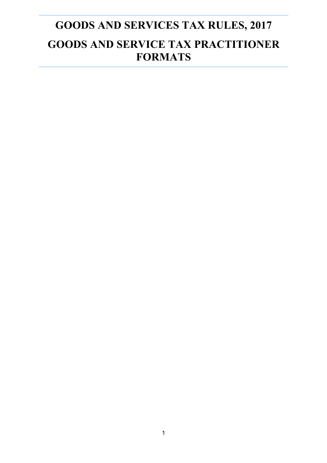# **GOODS AND SERVICES TAX RULES, 2017 GOODS AND SERVICE TAX PRACTITIONER FORMATS**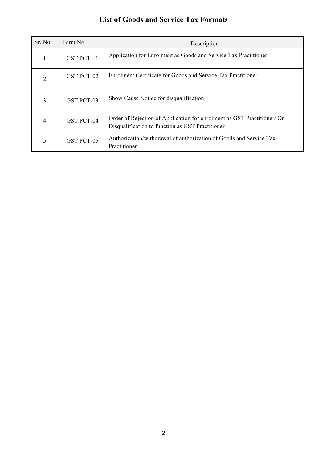## **List of Goods and Service Tax Formats**

| Sr. No.        | Form No.          | Description                                                                                                                 |
|----------------|-------------------|-----------------------------------------------------------------------------------------------------------------------------|
| $\mathbf{1}$ . | GST PCT-1         | Application for Enrolment as Goods and Service Tax Practitioner                                                             |
| 2.             | GST PCT-02        | Enrolment Certificate for Goods and Service Tax Practitioner                                                                |
| 3.             | <b>GST PCT-03</b> | Show Cause Notice for disqualification                                                                                      |
| 4.             | GST PCT-04        | Order of Rejection of Application for enrolment as GST Practitioner/ Or<br>Disqualification to function as GST Practitioner |
| 5.             | GST PCT-05        | Authorization/withdrawal of authorization of Goods and Service Tax<br>Practitioner.                                         |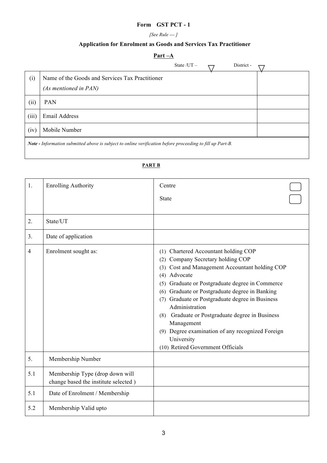## **Form GST PCT - 1**

#### *[See Rule --- ]*

## **Application for Enrolment as Goods and Services Tax Practitioner**

## **Part –A**

|                                                                                                           | State $/UT -$                                                            |  |  | District - |  |
|-----------------------------------------------------------------------------------------------------------|--------------------------------------------------------------------------|--|--|------------|--|
| (i)                                                                                                       | Name of the Goods and Services Tax Practitioner<br>(As mentioned in PAN) |  |  |            |  |
| (ii)                                                                                                      | <b>PAN</b>                                                               |  |  |            |  |
| (iii)                                                                                                     | Email Address                                                            |  |  |            |  |
| (iv)                                                                                                      | Mobile Number                                                            |  |  |            |  |
| Note - Information submitted above is subject to online verification before proceeding to fill up Part-B. |                                                                          |  |  |            |  |

#### **PART B**

| 1.  | <b>Enrolling Authority</b>                                              | Centre                                                                                                                                                                                                                                                                                                                                                                                                                                                                                                                |  |
|-----|-------------------------------------------------------------------------|-----------------------------------------------------------------------------------------------------------------------------------------------------------------------------------------------------------------------------------------------------------------------------------------------------------------------------------------------------------------------------------------------------------------------------------------------------------------------------------------------------------------------|--|
|     |                                                                         | <b>State</b>                                                                                                                                                                                                                                                                                                                                                                                                                                                                                                          |  |
| 2.  | State/UT                                                                |                                                                                                                                                                                                                                                                                                                                                                                                                                                                                                                       |  |
| 3.  | Date of application                                                     |                                                                                                                                                                                                                                                                                                                                                                                                                                                                                                                       |  |
| 4   | Enrolment sought as:                                                    | (1) Chartered Accountant holding COP<br>Company Secretary holding COP<br>(2)<br>Cost and Management Accountant holding COP<br>(3)<br>Advocate<br>(4)<br>Graduate or Postgraduate degree in Commerce<br>(5)<br>Graduate or Postgraduate degree in Banking<br>(6)<br>Graduate or Postgraduate degree in Business<br>(7)<br>Administration<br>Graduate or Postgraduate degree in Business<br>(8)<br>Management<br>Degree examination of any recognized Foreign<br>(9)<br>University<br>(10) Retired Government Officials |  |
| 5.  | Membership Number                                                       |                                                                                                                                                                                                                                                                                                                                                                                                                                                                                                                       |  |
| 5.1 | Membership Type (drop down will<br>change based the institute selected) |                                                                                                                                                                                                                                                                                                                                                                                                                                                                                                                       |  |
| 5.1 | Date of Enrolment / Membership                                          |                                                                                                                                                                                                                                                                                                                                                                                                                                                                                                                       |  |
| 5.2 | Membership Valid upto                                                   |                                                                                                                                                                                                                                                                                                                                                                                                                                                                                                                       |  |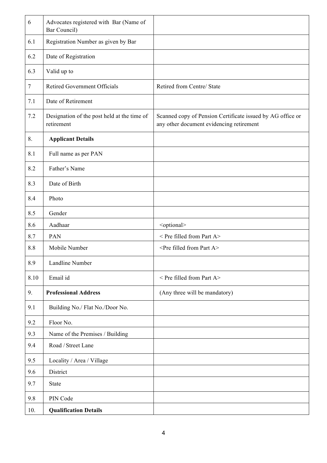| 6      | Advocates registered with Bar (Name of<br>Bar Council)    |                                                                                                        |
|--------|-----------------------------------------------------------|--------------------------------------------------------------------------------------------------------|
| 6.1    | Registration Number as given by Bar                       |                                                                                                        |
| 6.2    | Date of Registration                                      |                                                                                                        |
| 6.3    | Valid up to                                               |                                                                                                        |
| $\tau$ | <b>Retired Government Officials</b>                       | Retired from Centre/ State                                                                             |
| 7.1    | Date of Retirement                                        |                                                                                                        |
| 7.2    | Designation of the post held at the time of<br>retirement | Scanned copy of Pension Certificate issued by AG office or<br>any other document evidencing retirement |
| 8.     | <b>Applicant Details</b>                                  |                                                                                                        |
| 8.1    | Full name as per PAN                                      |                                                                                                        |
| 8.2    | Father's Name                                             |                                                                                                        |
| 8.3    | Date of Birth                                             |                                                                                                        |
| 8.4    | Photo                                                     |                                                                                                        |
| 8.5    | Gender                                                    |                                                                                                        |
| 8.6    | Aadhaar                                                   | <optional></optional>                                                                                  |
| 8.7    | PAN                                                       | < Pre filled from Part A>                                                                              |
| 8.8    | Mobile Number                                             | <pre a="" filled="" from="" part=""></pre>                                                             |
| 8.9    | Landline Number                                           |                                                                                                        |
| 8.10   | Email id                                                  | $\leq$ Pre filled from Part A>                                                                         |
| 9.     | <b>Professional Address</b>                               | (Any three will be mandatory)                                                                          |
| 9.1    | Building No./ Flat No./Door No.                           |                                                                                                        |
| 9.2    | Floor No.                                                 |                                                                                                        |
| 9.3    | Name of the Premises / Building                           |                                                                                                        |
| 9.4    | Road / Street Lane                                        |                                                                                                        |
| 9.5    | Locality / Area / Village                                 |                                                                                                        |
| 9.6    | District                                                  |                                                                                                        |
| 9.7    | State                                                     |                                                                                                        |
| 9.8    | PIN Code                                                  |                                                                                                        |
| 10.    | <b>Qualification Details</b>                              |                                                                                                        |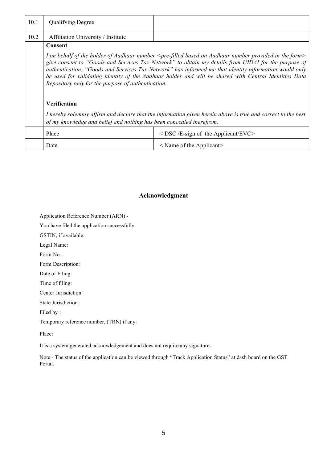| 10.1 | <b>Qualifying Degree</b>                                                                                                                                                                                                                                                                                                                                                                                                                                                                                                      |                                             |  |  |
|------|-------------------------------------------------------------------------------------------------------------------------------------------------------------------------------------------------------------------------------------------------------------------------------------------------------------------------------------------------------------------------------------------------------------------------------------------------------------------------------------------------------------------------------|---------------------------------------------|--|--|
| 10.2 | Affiliation University / Institute                                                                                                                                                                                                                                                                                                                                                                                                                                                                                            |                                             |  |  |
|      | Consent                                                                                                                                                                                                                                                                                                                                                                                                                                                                                                                       |                                             |  |  |
|      | I on behalf of the holder of Aadhaar number <pre-filled aadhaar="" based="" form="" in="" number="" on="" provided="" the=""><br/>give consent to "Goods and Services Tax Network" to obtain my details from UIDAI for the purpose of<br/>authentication. "Goods and Services Tax Network" has informed me that identity information would only<br/>be used for validating identity of the Aadhaar holder and will be shared with Central Identities Data<br/>Repository only for the purpose of authentication.</pre-filled> |                                             |  |  |
|      | <b>Verification</b>                                                                                                                                                                                                                                                                                                                                                                                                                                                                                                           |                                             |  |  |
|      | I hereby solemnly affirm and declare that the information given herein above is true and correct to the best<br>of my knowledge and belief and nothing has been concealed therefrom.                                                                                                                                                                                                                                                                                                                                          |                                             |  |  |
|      | Place                                                                                                                                                                                                                                                                                                                                                                                                                                                                                                                         | $\leq$ DSC /E-sign of the Applicant/EVC $>$ |  |  |
|      | Date                                                                                                                                                                                                                                                                                                                                                                                                                                                                                                                          | $\leq$ Name of the Applicant $\geq$         |  |  |

### **Acknowledgment**

Application Reference Number (ARN) -

You have filed the application successfully.

GSTIN, if available:

Legal Name:

Form No. :

Form Description :

Date of Filing:

Time of filing:

Center Jurisdiction:

State Jurisdiction :

Filed by :

Temporary reference number, (TRN) if any:

Place:

It is a system generated acknowledgement and does not require any signature**.** 

Note - The status of the application can be viewed through "Track Application Status" at dash board on the GST Portal.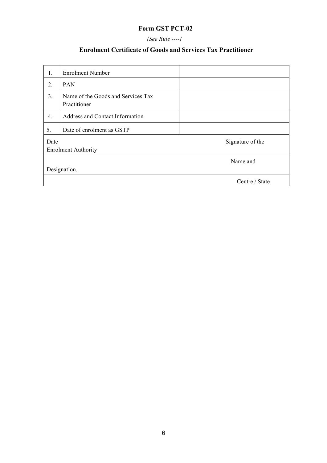## **Form GST PCT-02**

*[See Rule ----]*

## **Enrolment Certificate of Goods and Services Tax Practitioner**

| 1.   | <b>Enrolment Number</b>                            |                  |
|------|----------------------------------------------------|------------------|
| 2.   | PAN                                                |                  |
| 3.   | Name of the Goods and Services Tax<br>Practitioner |                  |
| 4.   | Address and Contact Information                    |                  |
| 5.   | Date of enrolment as GSTP                          |                  |
| Date |                                                    | Signature of the |
|      | <b>Enrolment Authority</b>                         |                  |
|      |                                                    | Name and         |
|      | Designation.                                       |                  |
|      |                                                    | Centre / State   |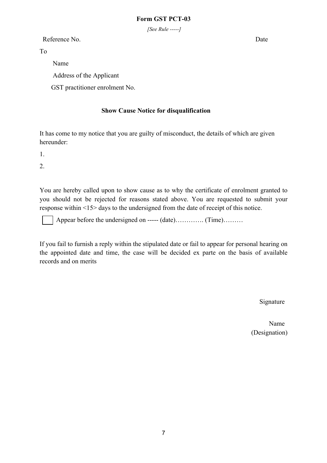*[See Rule -----]*

Reference No. Date

To

 Name Address of the Applicant GST practitioner enrolment No.

## **Show Cause Notice for disqualification**

It has come to my notice that you are guilty of misconduct, the details of which are given hereunder:

1.

2.

You are hereby called upon to show cause as to why the certificate of enrolment granted to you should not be rejected for reasons stated above. You are requested to submit your response within <15> days to the undersigned from the date of receipt of this notice.

Appear before the undersigned on ----- (date)……….. (Time)………

If you fail to furnish a reply within the stipulated date or fail to appear for personal hearing on the appointed date and time, the case will be decided ex parte on the basis of available records and on merits

Signature

Name Name and the Name of the Name (Designation)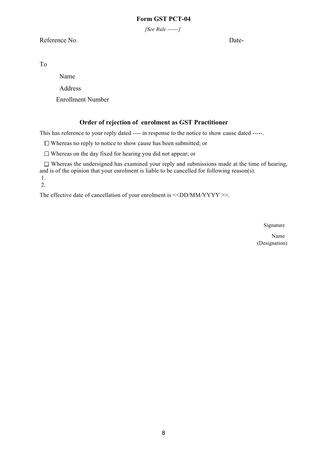## **Form GST PCT-04**

*[See Rule ------]*

## Reference No. Date-

To

Name

Address

Enrollment Number

## **Order of rejection of enrolment as GST Practitioner**

This has reference to your reply dated ---- in response to the notice to show cause dated -----.

 $\Box$  Whereas no reply to notice to show cause has been submitted; or

 $\Box$  Whereas on the day fixed for hearing you did not appear; or

 $\Box$  Whereas the undersigned has examined your reply and submissions made at the time of hearing, and is of the opinion that your enrolment is liable to be cancelled for following reason(s).

1. 2.

The effective date of cancellation of your enrolment is <<DD/MM/YYYY >>.

Signature

Name (Designation)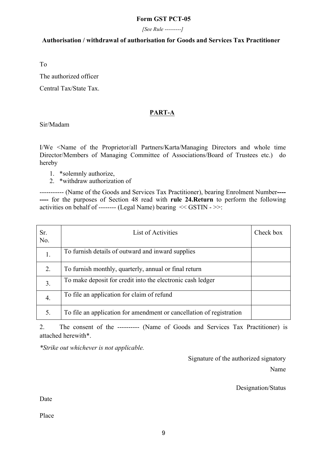#### **Form GST PCT-05**

*[See Rule ---------]*

#### **Authorisation / withdrawal of authorisation for Goods and Services Tax Practitioner**

To

The authorized officer

Central Tax/State Tax.

## **PART-A**

Sir/Madam

I/We <Name of the Proprietor/all Partners/Karta/Managing Directors and whole time Director/Members of Managing Committee of Associations/Board of Trustees etc.) do hereby

- 1. \*solemnly authorize,
- 2. \*withdraw authorization of

----------- (Name of the Goods and Services Tax Practitioner), bearing Enrolment Number**---- ----** for the purposes of Section 48 read with **rule 24.Return** to perform the following activities on behalf of -------- (Legal Name) bearing << GSTIN - >>:

| Sr.<br>No.       | List of Activities                                                   | Check box |
|------------------|----------------------------------------------------------------------|-----------|
| $\mathbf{1}$ .   | To furnish details of outward and inward supplies                    |           |
| 2.               | To furnish monthly, quarterly, annual or final return                |           |
| $\overline{3}$ . | To make deposit for credit into the electronic cash ledger           |           |
| $\overline{4}$ . | To file an application for claim of refund                           |           |
| 5.               | To file an application for amendment or cancellation of registration |           |

2. The consent of the ---------- (Name of Goods and Services Tax Practitioner) is attached herewith\*.

*\*Strike out whichever is not applicable.*

Signature of the authorized signatory Name

Designation/Status

Date

Place